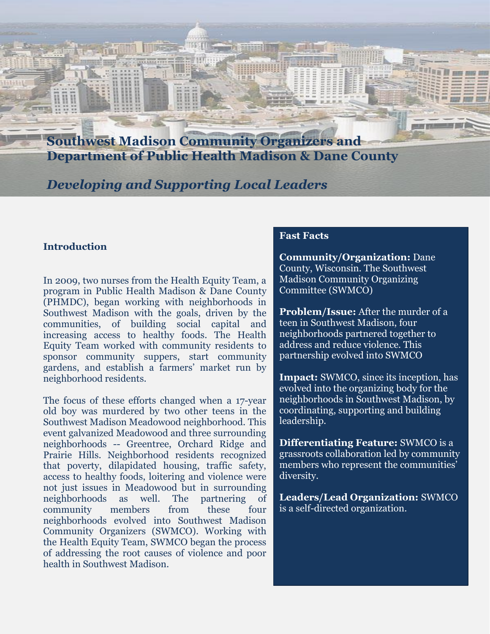**Southwest Madison Community Organizers and Department of Public Health Madison & Dane County**

*Developing and Supporting Local Leaders*

### **Introduction**

In 2009, two nurses from the Health Equity Team, a program in Public Health Madison & Dane County (PHMDC), began working with neighborhoods in Southwest Madison with the goals, driven by the communities, of building social capital and increasing access to healthy foods. The Health Equity Team worked with community residents to sponsor community suppers, start community gardens, and establish a farmers' market run by neighborhood residents.

The focus of these efforts changed when a 17-year old boy was murdered by two other teens in the Southwest Madison Meadowood neighborhood. This event galvanized Meadowood and three surrounding neighborhoods -- Greentree, Orchard Ridge and Prairie Hills. Neighborhood residents recognized that poverty, dilapidated housing, traffic safety, access to healthy foods, loitering and violence were not just issues in Meadowood but in surrounding neighborhoods as well. The partnering of community members from these four neighborhoods evolved into Southwest Madison Community Organizers (SWMCO). Working with the Health Equity Team, SWMCO began the process of addressing the root causes of violence and poor health in Southwest Madison.

#### **Fast Facts**

**Community/Organization:** Dane County, Wisconsin. The Southwest Madison Community Organizing Committee (SWMCO)

**Problem/Issue:** After the murder of a teen in Southwest Madison, four neighborhoods partnered together to address and reduce violence. This partnership evolved into SWMCO

**Impact:** SWMCO, since its inception, has evolved into the organizing body for the neighborhoods in Southwest Madison, by coordinating, supporting and building leadership.

**Differentiating Feature:** SWMCO is a grassroots collaboration led by community members who represent the communities' diversity.

**Leaders/Lead Organization:** SWMCO is a self-directed organization.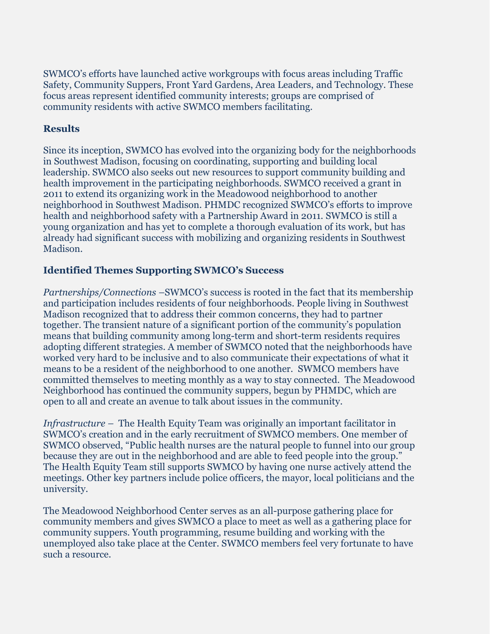SWMCO's efforts have launched active workgroups with focus areas including Traffic Safety, Community Suppers, Front Yard Gardens, Area Leaders, and Technology. These focus areas represent identified community interests; groups are comprised of community residents with active SWMCO members facilitating.

### **Results**

Since its inception, SWMCO has evolved into the organizing body for the neighborhoods in Southwest Madison, focusing on coordinating, supporting and building local leadership. SWMCO also seeks out new resources to support community building and health improvement in the participating neighborhoods. SWMCO received a grant in 2011 to extend its organizing work in the Meadowood neighborhood to another neighborhood in Southwest Madison. PHMDC recognized SWMCO's efforts to improve health and neighborhood safety with a Partnership Award in 2011. SWMCO is still a young organization and has yet to complete a thorough evaluation of its work, but has already had significant success with mobilizing and organizing residents in Southwest Madison.

### **Identified Themes Supporting SWMCO's Success**

*Partnerships/Connections –*SWMCO's success is rooted in the fact that its membership and participation includes residents of four neighborhoods. People living in Southwest Madison recognized that to address their common concerns, they had to partner together. The transient nature of a significant portion of the community's population means that building community among long-term and short-term residents requires adopting different strategies. A member of SWMCO noted that the neighborhoods have worked very hard to be inclusive and to also communicate their expectations of what it means to be a resident of the neighborhood to one another. SWMCO members have committed themselves to meeting monthly as a way to stay connected. The Meadowood Neighborhood has continued the community suppers, begun by PHMDC, which are open to all and create an avenue to talk about issues in the community.

*Infrastructure –* The Health Equity Team was originally an important facilitator in SWMCO's creation and in the early recruitment of SWMCO members. One member of SWMCO observed, "Public health nurses are the natural people to funnel into our group because they are out in the neighborhood and are able to feed people into the group." The Health Equity Team still supports SWMCO by having one nurse actively attend the meetings. Other key partners include police officers, the mayor, local politicians and the university.

The Meadowood Neighborhood Center serves as an all-purpose gathering place for community members and gives SWMCO a place to meet as well as a gathering place for community suppers. Youth programming, resume building and working with the unemployed also take place at the Center. SWMCO members feel very fortunate to have such a resource.